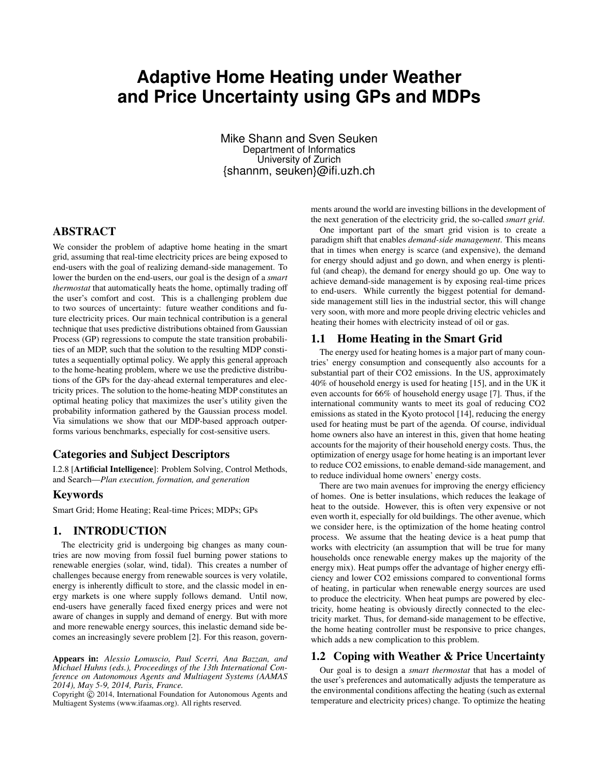# **Adaptive Home Heating under Weather and Price Uncertainty using GPs and MDPs**

Mike Shann and Sven Seuken Department of Informatics University of Zurich {shannm, seuken}@ifi.uzh.ch

# ABSTRACT

We consider the problem of adaptive home heating in the smart grid, assuming that real-time electricity prices are being exposed to end-users with the goal of realizing demand-side management. To lower the burden on the end-users, our goal is the design of a *smart thermostat* that automatically heats the home, optimally trading off the user's comfort and cost. This is a challenging problem due to two sources of uncertainty: future weather conditions and future electricity prices. Our main technical contribution is a general technique that uses predictive distributions obtained from Gaussian Process (GP) regressions to compute the state transition probabilities of an MDP, such that the solution to the resulting MDP constitutes a sequentially optimal policy. We apply this general approach to the home-heating problem, where we use the predictive distributions of the GPs for the day-ahead external temperatures and electricity prices. The solution to the home-heating MDP constitutes an optimal heating policy that maximizes the user's utility given the probability information gathered by the Gaussian process model. Via simulations we show that our MDP-based approach outperforms various benchmarks, especially for cost-sensitive users.

## Categories and Subject Descriptors

I.2.8 [Artificial Intelligence]: Problem Solving, Control Methods, and Search—*Plan execution, formation, and generation*

### Keywords

Smart Grid; Home Heating; Real-time Prices; MDPs; GPs

# 1. INTRODUCTION

The electricity grid is undergoing big changes as many countries are now moving from fossil fuel burning power stations to renewable energies (solar, wind, tidal). This creates a number of challenges because energy from renewable sources is very volatile, energy is inherently difficult to store, and the classic model in energy markets is one where supply follows demand. Until now, end-users have generally faced fixed energy prices and were not aware of changes in supply and demand of energy. But with more and more renewable energy sources, this inelastic demand side becomes an increasingly severe problem [2]. For this reason, govern-

Appears in: *Alessio Lomuscio, Paul Scerri, Ana Bazzan, and Michael Huhns (eds.), Proceedings of the 13th International Conference on Autonomous Agents and Multiagent Systems (AAMAS 2014), May 5-9, 2014, Paris, France.*

Copyright  $\ddot{C}$  2014, International Foundation for Autonomous Agents and Multiagent Systems (www.ifaamas.org). All rights reserved.

ments around the world are investing billions in the development of the next generation of the electricity grid, the so-called *smart grid*.

One important part of the smart grid vision is to create a paradigm shift that enables *demand-side management*. This means that in times when energy is scarce (and expensive), the demand for energy should adjust and go down, and when energy is plentiful (and cheap), the demand for energy should go up. One way to achieve demand-side management is by exposing real-time prices to end-users. While currently the biggest potential for demandside management still lies in the industrial sector, this will change very soon, with more and more people driving electric vehicles and heating their homes with electricity instead of oil or gas.

## 1.1 Home Heating in the Smart Grid

The energy used for heating homes is a major part of many countries' energy consumption and consequently also accounts for a substantial part of their CO2 emissions. In the US, approximately 40% of household energy is used for heating [15], and in the UK it even accounts for 66% of household energy usage [7]. Thus, if the international community wants to meet its goal of reducing CO2 emissions as stated in the Kyoto protocol [14], reducing the energy used for heating must be part of the agenda. Of course, individual home owners also have an interest in this, given that home heating accounts for the majority of their household energy costs. Thus, the optimization of energy usage for home heating is an important lever to reduce CO2 emissions, to enable demand-side management, and to reduce individual home owners' energy costs.

There are two main avenues for improving the energy efficiency of homes. One is better insulations, which reduces the leakage of heat to the outside. However, this is often very expensive or not even worth it, especially for old buildings. The other avenue, which we consider here, is the optimization of the home heating control process. We assume that the heating device is a heat pump that works with electricity (an assumption that will be true for many households once renewable energy makes up the majority of the energy mix). Heat pumps offer the advantage of higher energy efficiency and lower CO2 emissions compared to conventional forms of heating, in particular when renewable energy sources are used to produce the electricity. When heat pumps are powered by electricity, home heating is obviously directly connected to the electricity market. Thus, for demand-side management to be effective, the home heating controller must be responsive to price changes, which adds a new complication to this problem.

# 1.2 Coping with Weather & Price Uncertainty

Our goal is to design a *smart thermostat* that has a model of the user's preferences and automatically adjusts the temperature as the environmental conditions affecting the heating (such as external temperature and electricity prices) change. To optimize the heating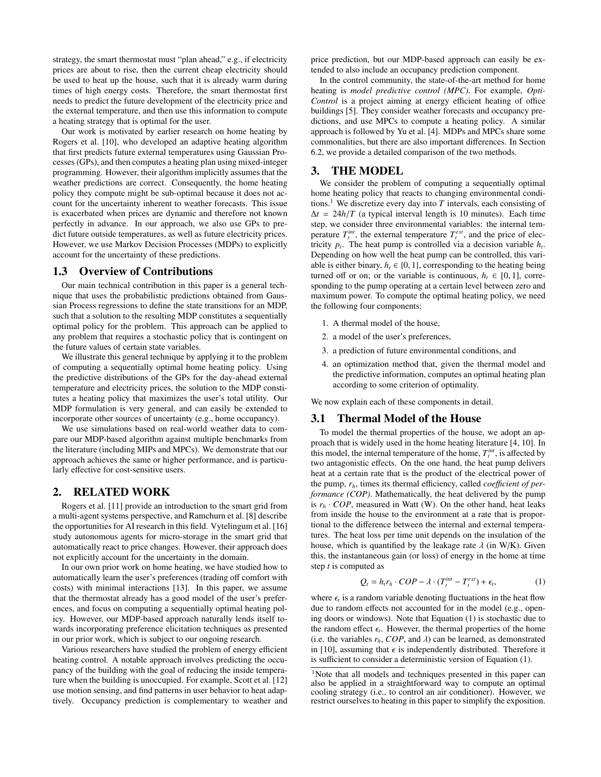strategy, the smart thermostat must "plan ahead," e.g., if electricity prices are about to rise, then the current cheap electricity should be used to heat up the house, such that it is already warm during times of high energy costs. Therefore, the smart thermostat first needs to predict the future development of the electricity price and the external temperature, and then use this information to compute a heating strategy that is optimal for the user.

Our work is motivated by earlier research on home heating by Rogers et al. [10], who developed an adaptive heating algorithm that first predicts future external temperatures using Gaussian Processes (GPs), and then computes a heating plan using mixed-integer programming. However, their algorithm implicitly assumes that the weather predictions are correct. Consequently, the home heating policy they compute might be sub-optimal because it does not account for the uncertainty inherent to weather forecasts. This issue is exacerbated when prices are dynamic and therefore not known perfectly in advance. In our approach, we also use GPs to predict future outside temperatures, as well as future electricity prices. However, we use Markov Decision Processes (MDPs) to explicitly account for the uncertainty of these predictions.

#### 1.3 Overview of Contributions

Our main technical contribution in this paper is a general technique that uses the probabilistic predictions obtained from Gaussian Process regressions to define the state transitions for an MDP, such that a solution to the resulting MDP constitutes a sequentially optimal policy for the problem. This approach can be applied to any problem that requires a stochastic policy that is contingent on the future values of certain state variables.

We illustrate this general technique by applying it to the problem of computing a sequentially optimal home heating policy. Using the predictive distributions of the GPs for the day-ahead external temperature and electricity prices, the solution to the MDP constitutes a heating policy that maximizes the user's total utility. Our MDP formulation is very general, and can easily be extended to incorporate other sources of uncertainty (e.g., home occupancy).

We use simulations based on real-world weather data to compare our MDP-based algorithm against multiple benchmarks from the literature (including MIPs and MPCs). We demonstrate that our approach achieves the same or higher performance, and is particularly effective for cost-sensitive users.

# 2. RELATED WORK

Rogers et al. [11] provide an introduction to the smart grid from a multi-agent systems perspective, and Ramchurn et al. [8] describe the opportunities for AI research in this field. Vytelingum et al. [16] study autonomous agents for micro-storage in the smart grid that automatically react to price changes. However, their approach does not explicitly account for the uncertainty in the domain.

In our own prior work on home heating, we have studied how to automatically learn the user's preferences (trading off comfort with costs) with minimal interactions [13]. In this paper, we assume that the thermostat already has a good model of the user's preferences, and focus on computing a sequentially optimal heating policy. However, our MDP-based approach naturally lends itself towards incorporating preference elicitation techniques as presented in our prior work, which is subject to our ongoing research.

Various researchers have studied the problem of energy efficient heating control. A notable approach involves predicting the occupancy of the building with the goal of reducing the inside temperature when the building is unoccupied. For example, Scott et al. [12] use motion sensing, and find patterns in user behavior to heat adaptively. Occupancy prediction is complementary to weather and price prediction, but our MDP-based approach can easily be extended to also include an occupancy prediction component.

In the control community, the state-of-the-art method for home heating is *model predictive control (MPC)*. For example, *Opti-Control* is a project aiming at energy efficient heating of office buildings [5]. They consider weather forecasts and occupancy predictions, and use MPCs to compute a heating policy. A similar approach is followed by Yu et al. [4]. MDPs and MPCs share some commonalities, but there are also important differences. In Section 6.2, we provide a detailed comparison of the two methods.

## 3. THE MODEL

We consider the problem of computing a sequentially optimal home heating policy that reacts to changing environmental conditions.<sup>1</sup> We discretize every day into  $T$  intervals, each consisting of  $\Delta t = 24h/T$  (a typical interval length is 10 minutes). Each time step, we consider three environmental variables: the internal temperature  $T_t^{int}$ , the external temperature  $T_t^{ext}$ , and the price of electricity  $p_t$ . The heat pump is controlled via a decision variable  $h_t$ . Depending on how well the heat pump can be controlled, this variable is either binary,  $h_t \in \{0, 1\}$ , corresponding to the heating being turned off or on; or the variable is continuous,  $h_t \in [0, 1]$ , corresponding to the pump operating at a certain level between zero and maximum power. To compute the optimal heating policy, we need the following four components:

- 1. A thermal model of the house,
- 2. a model of the user's preferences,
- 3. a prediction of future environmental conditions, and
- 4. an optimization method that, given the thermal model and the predictive information, computes an optimal heating plan according to some criterion of optimality.

We now explain each of these components in detail.

#### 3.1 Thermal Model of the House

To model the thermal properties of the house, we adopt an approach that is widely used in the home heating literature [4, 10]. In this model, the internal temperature of the home,  $T_t^{int}$ , is affected by two antagonistic effects. On the one hand, the heat pump delivers heat at a certain rate that is the product of the electrical power of the pump,  $r_h$ , times its thermal efficiency, called *coefficient of performance (COP)*. Mathematically, the heat delivered by the pump is  $r_h \cdot COP$ , measured in Watt (W). On the other hand, heat leaks from inside the house to the environment at a rate that is proportional to the difference between the internal and external temperatures. The heat loss per time unit depends on the insulation of the house, which is quantified by the leakage rate  $\lambda$  (in W/K). Given this, the instantaneous gain (or loss) of energy in the home at time step *t* is computed as

$$
Q_t = h_t r_h \cdot COP - \lambda \cdot (T_t^{int} - T_t^{ext}) + \epsilon_t,
$$
 (1)

where  $\epsilon_i$  is a random variable denoting fluctuations in the heat flow<br>due to random effects not accounted for in the model (e.g., opendue to random effects not accounted for in the model (e.g., opening doors or windows). Note that Equation (1) is stochastic due to the random effect  $\epsilon_i$ . However, the thermal properties of the home<br>(i.e. the variables  $r_i$ ,  $COP$  and i.e. an be learned as demonstrated (i.e. the variables  $r_h$ , *COP*, and  $\lambda$ ) can be learned, as demonstrated in [10], assuming that  $\epsilon$  is independently distributed. Therefore it is sufficient to consider a deterministic version of Equation (1).

<sup>&</sup>lt;sup>1</sup>Note that all models and techniques presented in this paper can also be applied in a straightforward way to compute an optimal cooling strategy (i.e., to control an air conditioner). However, we restrict ourselves to heating in this paper to simplify the exposition.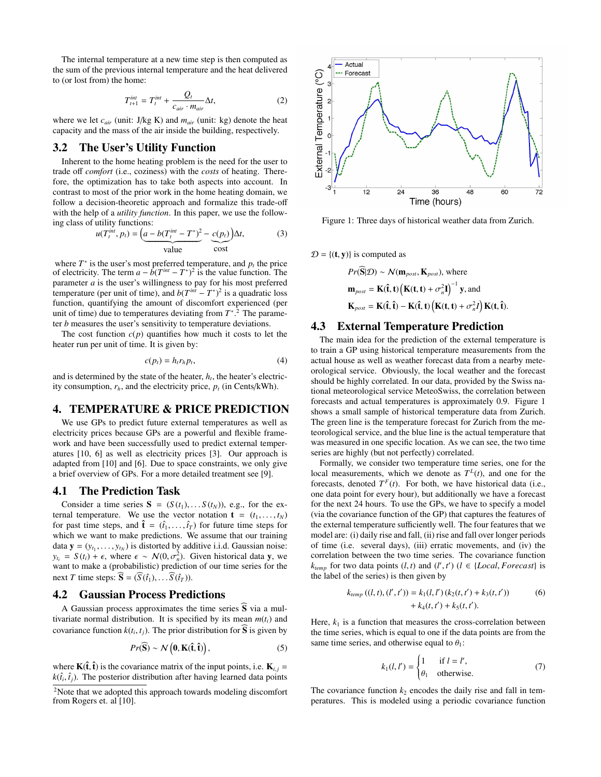The internal temperature at a new time step is then computed as the sum of the previous internal temperature and the heat delivered to (or lost from) the home:

$$
T_{t+1}^{int} = T_t^{int} + \frac{Q_t}{c_{air} \cdot m_{air}} \Delta t,
$$
 (2)

where we let  $c_{air}$  (unit: J/kg K) and  $m_{air}$  (unit: kg) denote the heat capacity and the mass of the air inside the building, respectively.

## 3.2 The User's Utility Function

Inherent to the home heating problem is the need for the user to trade off *comfort* (i.e., coziness) with the *costs* of heating. Therefore, the optimization has to take both aspects into account. In contrast to most of the prior work in the home heating domain, we follow a decision-theoretic approach and formalize this trade-off with the help of a *utility function*. In this paper, we use the following class of utility functions:

$$
u(T_t^{\text{int}}, p_t) = \underbrace{\left(a - b(T_t^{\text{int}} - T^*)^2 - \underbrace{c(p_t)}_{\text{value}}\right)}_{\text{cost}} \Delta t, \tag{3}
$$

where  $T^*$  is the user's most preferred temperature, and  $p_t$  the price of electricity. The term  $a - b(T^{int} - T^*)^2$  is the value function. The parameter *a* is the user's willingness to pay for his most preferred temperature (per unit of time), and  $b(T^{int} - T^*)^2$  is a quadratic loss function, quantifying the amount of discomfort experienced (per unit of time) due to temperatures deviating from  $T^*$ <sup>2</sup>. The parameter *b* measures the user's sensitivity to temperature deviations.

The cost function  $c(p)$  quantifies how much it costs to let the heater run per unit of time. It is given by:

$$
c(p_t) = h_t r_h p_t,\tag{4}
$$

and is determined by the state of the heater,  $h_t$ , the heater's electricity consumption,  $r_h$ , and the electricity price,  $p_t$  (in Cents/kWh).

# 4. TEMPERATURE & PRICE PREDICTION

We use GPs to predict future external temperatures as well as electricity prices because GPs are a powerful and flexible framework and have been successfully used to predict external temperatures [10, 6] as well as electricity prices [3]. Our approach is adapted from [10] and [6]. Due to space constraints, we only give a brief overview of GPs. For a more detailed treatment see [9].

#### 4.1 The Prediction Task

Consider a time series  $S = (S(t_1), \ldots, S(t_N))$ , e.g., for the external temperature. We use the vector notation  $\mathbf{t} = (t_1, \ldots, t_N)$ for past time steps, and  $\hat{\mathbf{t}} = (\hat{t}_1, \dots, \hat{t}_T)$  for future time steps for which we want to make predictions. We assume that our training which we want to make predictions. We assume that our training data  $\mathbf{y} = (y_{t_1}, \dots, y_{t_N})$  is distorted by additive i.i.d. Gaussian noise:<br> $y_{t_1} = S(t_1) + \epsilon$  where  $\epsilon \sim N(0, \sigma^2)$  Given historical data **v** we  $y_{t_i} = S(t_i) + \epsilon$ , where  $\epsilon \sim N(0, \sigma_n^2)$ . Given historical data y, we want to make a (probabilistic) prediction of our time series for the want to make a (probabilistic) prediction of our time series for the next *T* time steps:  $\mathbf{\overline{S}} = (\overline{S}(\hat{t}_1), \dots \overline{S}(\hat{t}_T)).$ 

### 4.2 Gaussian Process Predictions

A Gaussian process approximates the time series  $\tilde{S}$  via a multivariate normal distribution. It is specified by its mean  $m(t_i)$  and covariance function  $k(t_i, t_j)$ . The prior distribution for **S** is given by

$$
Pr(\widehat{\mathbf{S}}) \sim \mathcal{N}\left(\mathbf{0}, \mathbf{K}(\hat{\mathbf{t}}, \hat{\mathbf{t}})\right),\tag{5}
$$

where  $\mathbf{K}(\hat{\mathbf{t}}, \hat{\mathbf{t}})$  is the covariance matrix of the input points, i.e.  $\mathbf{K}_{i,j} = k(\hat{\mathbf{t}}, \hat{\mathbf{t}})$ . The posterior distribution after having learned data points  $k(\hat{t}_i, \hat{t}_j)$ . The posterior distribution after having learned data points



Figure 1: Three days of historical weather data from Zurich.

 $D = \{(\mathbf{t}, \mathbf{y})\}$  is computed as

$$
Pr(S|\mathcal{D}) \sim \mathcal{N}(\mathbf{m}_{\text{post}}, \mathbf{K}_{\text{post}}), \text{ where}
$$
\n
$$
\mathbf{m}_{\text{post}} = \mathbf{K}(\hat{\mathbf{t}}, \mathbf{t}) \left( \mathbf{K}(\mathbf{t}, \mathbf{t}) + \sigma_n^2 \mathbf{I} \right)^{-1} \mathbf{y}, \text{and}
$$
\n
$$
\mathbf{K}_{\text{post}} = \mathbf{K}(\hat{\mathbf{t}}, \hat{\mathbf{t}}) - \mathbf{K}(\hat{\mathbf{t}}, \mathbf{t}) \left( \mathbf{K}(\mathbf{t}, \mathbf{t}) + \sigma_n^2 \mathbf{I} \right) \mathbf{K}(\mathbf{t}, \hat{\mathbf{t}}).
$$

## 4.3 External Temperature Prediction

The main idea for the prediction of the external temperature is to train a GP using historical temperature measurements from the actual house as well as weather forecast data from a nearby meteorological service. Obviously, the local weather and the forecast should be highly correlated. In our data, provided by the Swiss national meteorological service MeteoSwiss, the correlation between forecasts and actual temperatures is approximately 0.9. Figure 1 shows a small sample of historical temperature data from Zurich. The green line is the temperature forecast for Zurich from the meteorological service, and the blue line is the actual temperature that was measured in one specific location. As we can see, the two time series are highly (but not perfectly) correlated.

Formally, we consider two temperature time series, one for the local measurements, which we denote as  $T^L(t)$ , and one for the forecasts, denoted  $T^F(t)$ . For both, we have historical data (i.e., one data point for every hour), but additionally we have a forecast for the next 24 hours. To use the GPs, we have to specify a model (via the covariance function of the GP) that captures the features of the external temperature sufficiently well. The four features that we model are: (i) daily rise and fall, (ii) rise and fall over longer periods of time (i.e. several days), (iii) erratic movements, and (iv) the correlation between the two time series. The covariance function  $k_{temp}$  for two data points  $(l, t)$  and  $(l', t')$   $(l \in \{Local, Forecast\}$  is the label of the series) is then given by the label of the series) is then given by

$$
k_{temp}((l, t), (l', t')) = k_1(l, l') (k_2(t, t') + k_3(t, t'))
$$
  
+  $k_4(t, t') + k_5(t, t').$  (6)

Here,  $k_1$  is a function that measures the cross-correlation between the time series, which is equal to one if the data points are from the same time series, and otherwise equal to  $\theta_1$ :

$$
k_1(l, l') = \begin{cases} 1 & \text{if } l = l', \\ \theta_1 & \text{otherwise.} \end{cases}
$$
 (7)

The covariance function  $k_2$  encodes the daily rise and fall in temperatures. This is modeled using a periodic covariance function

<sup>&</sup>lt;sup>2</sup>Note that we adopted this approach towards modeling discomfort from Rogers et. al [10].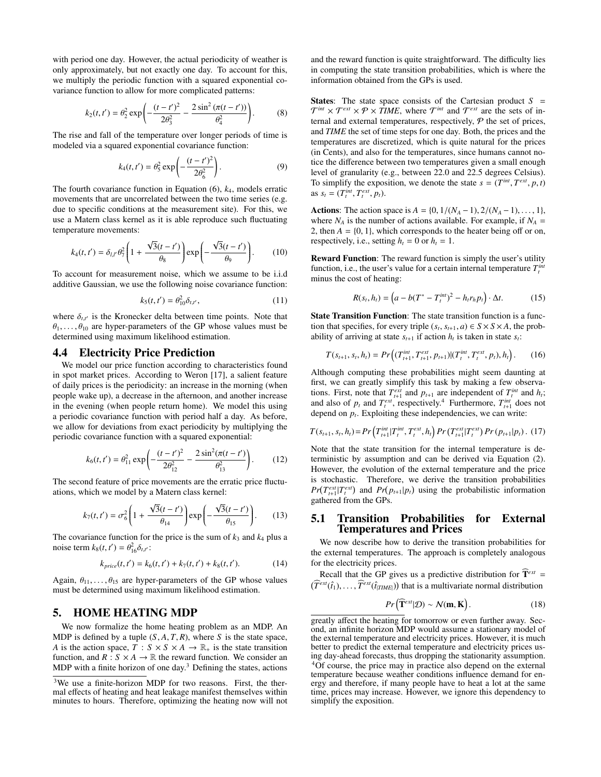with period one day. However, the actual periodicity of weather is only approximately, but not exactly one day. To account for this, we multiply the periodic function with a squared exponential covariance function to allow for more complicated patterns:

$$
k_2(t, t') = \theta_2^2 \exp\left(-\frac{(t - t')^2}{2\theta_3^2} - \frac{2\sin^2\left(\pi(t - t')\right)}{\theta_4^2}\right).
$$
 (8)

The rise and fall of the temperature over longer periods of time is modeled via a squared exponential covariance function:

$$
k_4(t, t') = \theta_5^2 \exp\left(-\frac{(t - t')^2}{2\theta_6^2}\right).
$$
 (9)

The fourth covariance function in Equation (6), *k*4, models erratic movements that are uncorrelated between the two time series (e.g. due to specific conditions at the measurement site). For this, we use a Matern class kernel as it is able reproduce such fluctuating temperature movements:

$$
k_4(t, t') = \delta_{l,l'} \theta_7^2 \left( 1 + \frac{\sqrt{3}(t - t')}{\theta_8} \right) \exp\left( -\frac{\sqrt{3}(t - t')}{\theta_9} \right). \tag{10}
$$

To account for measurement noise, which we assume to be i.i.d additive Gaussian, we use the following noise covariance function:

$$
k_5(t, t') = \theta_{10}^2 \delta_{t, t'},
$$
\n(11)

where  $\delta_{t,t'}$  is the Kronecker delta between time points. Note that  $\theta_t$  are hyper-parameters of the GP whose values must be  $\theta_1, \ldots, \theta_{10}$  are hyper-parameters of the GP whose values must be determined using maximum likelihood estimation.

#### 4.4 Electricity Price Prediction

We model our price function according to characteristics found in spot market prices. According to Weron [17], a salient feature of daily prices is the periodicity: an increase in the morning (when people wake up), a decrease in the afternoon, and another increase in the evening (when people return home). We model this using a periodic covariance function with period half a day. As before, we allow for deviations from exact periodicity by multiplying the periodic covariance function with a squared exponential:

$$
k_6(t, t') = \theta_{11}^2 \exp\left(-\frac{(t - t')^2}{2\theta_{12}^2} - \frac{2\sin^2(\pi(t - t')}{\theta_{13}^2}\right).
$$
 (12)

The second feature of price movements are the erratic price fluctuations, which we model by a Matern class kernel:

$$
k_7(t, t') = \sigma_6^2 \left( 1 + \frac{\sqrt{3}(t - t')}{\theta_{14}} \right) \exp\left( -\frac{\sqrt{3}(t - t')}{\theta_{15}} \right). \tag{13}
$$

The covariance function for the price is the sum of  $k_3$  and  $k_4$  plus a noise term  $k_8(t, t') = \theta_{16}^2 \delta_{t, t'}$ :

$$
k_{price}(t, t') = k_6(t, t') + k_7(t, t') + k_8(t, t').
$$
 (14)

Again,  $\theta_{11}, \ldots, \theta_{15}$  are hyper-parameters of the GP whose values must be determined using maximum likelihood estimation.

## 5. HOME HEATING MDP

We now formalize the home heating problem as an MDP. An MDP is defined by a tuple  $(S, A, T, R)$ , where *S* is the state space, *A* is the action space,  $T : S \times S \times A \rightarrow \mathbb{R}_+$  is the state transition function, and  $R : S \times A \rightarrow \mathbb{R}$  the reward function. We consider an MDP with a finite horizon of one day. $3$  Defining the states, actions

and the reward function is quite straightforward. The difficulty lies in computing the state transition probabilities, which is where the information obtained from the GPs is used.

States: The state space consists of the Cartesian product *S* =  $\mathcal{T}^{\text{int}} \times \mathcal{T}^{\text{ext}} \times \mathcal{P} \times \text{TIME}$ , where  $\mathcal{T}^{\text{int}}$  and  $\mathcal{T}^{\text{ext}}$  are the sets of internal and external temperatures, respectively,  $P$  the set of prices, and *TIME* the set of time steps for one day. Both, the prices and the temperatures are discretized, which is quite natural for the prices (in Cents), and also for the temperatures, since humans cannot notice the difference between two temperatures given a small enough level of granularity (e.g., between 22.0 and 22.5 degrees Celsius). To simplify the exposition, we denote the state  $s = (T^{int}, T^{ext}, p, t)$ as  $s_t = (T_t^{int}, T_t^{ext}, p_t)$ .

Actions: The action space is  $A = \{0, 1/(N_A - 1), 2/(N_A - 1), \dots, 1\},\$ where  $N_A$  is the number of actions available. For example, if  $N_A$  = 2, then  $A = \{0, 1\}$ , which corresponds to the heater being off or on, respectively, i.e., setting  $h_t = 0$  or  $h_t = 1$ .

Reward Function: The reward function is simply the user's utility function, i.e., the user's value for a certain internal temperature  $T_t^{int}$ minus the cost of heating:

$$
R(s_t, h_t) = \left(a - b(T^* - T_t^{int})^2 - h_t r_h p_t\right) \cdot \Delta t. \tag{15}
$$

State Transition Function: The state transition function is a function that specifies, for every triple  $(s_t, s_{t+1}, a) \in S \times S \times A$ , the prob-<br>ability of arriving at state  $s_{t+1}$ , if action *h*, is taken in state  $s_{t+1}$ . ability of arriving at state  $s_{t+1}$  if action  $h_t$  is taken in state  $s_t$ :

$$
T(s_{t+1}, s_t, h_t) = Pr\Big((T_{t+1}^{int}, T_{t+1}^{ext}, p_{t+1})|(T_t^{int}, T_t^{ext}, p_t), h_t\Big). \tag{16}
$$

Although computing these probabilities might seem daunting at first, we can greatly simplify this task by making a few observations. First, note that  $T_{t+1}^{ext}$  and  $p_{t+1}$  are independent of  $T_t^{int}$  and  $h_t$ ; and also of  $p_t$  and  $T_t^{ext}$ , respectively.<sup>4</sup> Furthermore,  $T_{t+1}^{int}$  does not depend on  $p_t$ . Exploiting these independencies, we can write:

$$
T(s_{t+1}, s_t, h_t) = Pr\left(T_{t+1}^{int}|T_t^{int}, T_t^{ext}, h_t\right) Pr\left(T_{t+1}^{ext}|T_t^{ext}\right) Pr\left(p_{t+1}|p_t\right). (17)
$$

Note that the state transition for the internal temperature is deterministic by assumption and can be derived via Equation (2). However, the evolution of the external temperature and the price is stochastic. Therefore, we derive the transition probabilities  $Pr(T_{t+1}^{ext} | T_t^{ext})$  and  $Pr(p_{t+1} | p_t)$  using the probabilistic information gathered from the GPs.

## 5.1 Transition Probabilities for External Temperatures and Prices

We now describe how to derive the transition probabilities for the external temperatures. The approach is completely analogous for the electricity prices.

Recall that the GP gives us a predictive distribution for  $\widehat{T}^{ext}$  =  $(\widehat{T}^{ext}(\hat{t}_1), \ldots, \widehat{T}^{ext}(\hat{t}_{|TIME|}))$  that is a multivariate normal distribution

$$
Pr\left(\widehat{\mathbf{T}}^{ext}|\mathcal{D}\right) \sim \mathcal{N}(\mathbf{m}, \mathbf{K})\,. \tag{18}
$$

<sup>&</sup>lt;sup>3</sup>We use a finite-horizon MDP for two reasons. First, the thermal effects of heating and heat leakage manifest themselves within minutes to hours. Therefore, optimizing the heating now will not

greatly affect the heating for tomorrow or even further away. Second, an infinite horizon MDP would assume a stationary model of the external temperature and electricity prices. However, it is much better to predict the external temperature and electricity prices using day-ahead forecasts, thus dropping the stationarity assumption. <sup>4</sup>Of course, the price may in practice also depend on the external temperature because weather conditions influence demand for energy and therefore, if many people have to heat a lot at the same time, prices may increase. However, we ignore this dependency to simplify the exposition.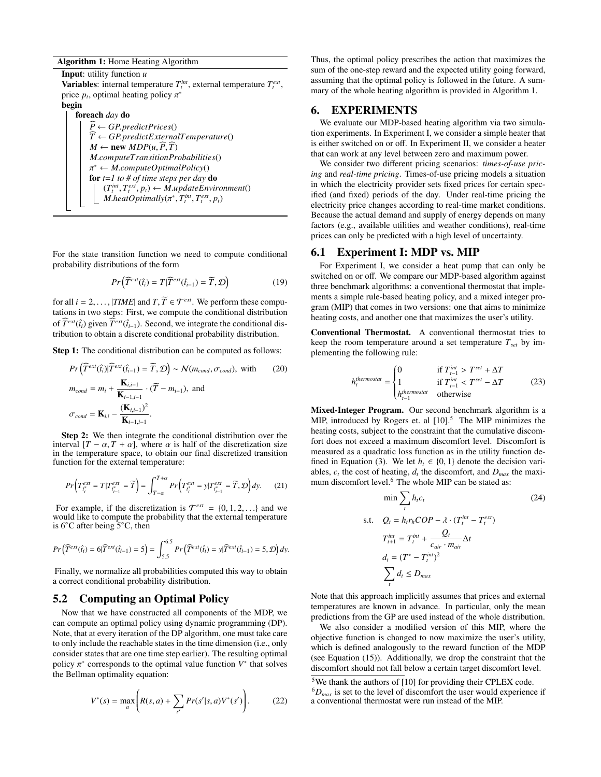#### Algorithm 1: Home Heating Algorithm

Input: utility function *u* Variables: internal temperature  $T_t^{int}$ , external temperature  $T_t^{ext}$ , price  $p_t$ , optimal heating policy  $\pi^*$ 

begin

foreach *day* do  $P \leftarrow GP.predictPrices()$  $\widehat{T} \leftarrow GP.predictExternalTemperature()$  $M \leftarrow$  **new**  $MDP(u, P, T)$ *<sup>M</sup>*.*computeT ransitionProbabilities*() π for *t*=*1 to # of time steps per day* do <sup>∗</sup> <sup>←</sup> *<sup>M</sup>*.*computeOptimalPolicy*()  $(T_t^{int}, T_t^{ext}, p_t) \leftarrow M.updateEnvironment()$ <br> *M* heatOntimally( $\pi^*$  T<sup>int</sup> T<sup>ext</sup> n.)  $M$ *.heatOptimally*( $\pi^*$ ,  $T_t^{int}$ ,  $T_t^{ext}$ ,  $p_t$ )

For the state transition function we need to compute conditional probability distributions of the form

$$
Pr\left(\widehat{T}^{ext}(\hat{t}_i) = T | \widehat{T}^{ext}(\hat{t}_{i-1}) = \widetilde{T}, \mathcal{D}\right)
$$
 (19)

for all  $i = 2, ..., |TIME|$  and  $T, \widetilde{T} \in \mathcal{T}^{ext}$ . We perform these computations in two steps: First, we compute the conditional distribution of  $\widehat{T}^{ext}(\hat{t}_i)$  given  $\widehat{T}^{ext}(\hat{t}_{i-1})$ . Second, we integrate the conditional distribution to obtain a discrete conditional probability distribution.

Step 1: The conditional distribution can be computed as follows:

$$
Pr\left(\widehat{T}^{ext}(\hat{t}_i)|\widehat{T}^{ext}(\hat{t}_{i-1}) = \widetilde{T}, \mathcal{D}\right) \sim \mathcal{N}(m_{cond}, \sigma_{cond}), \text{ with } (20)
$$

$$
m_{cond} = m_i + \frac{\mathbf{K}_{i,i-1}}{\mathbf{K}_{i-1,i-1}} \cdot (\widetilde{T} - m_{i-1}), \text{ and}
$$

$$
\sigma_{cond} = \mathbf{K}_{i,i} - \frac{(\mathbf{K}_{i,i-1})^2}{\mathbf{K}_{i-1,i-1}}.
$$

Step 2: We then integrate the conditional distribution over the interval  $[T - \alpha, T + \alpha]$ , where  $\alpha$  is half of the discretization size in the temperature space, to obtain our final discretized transition function for the external temperature:

$$
Pr\left(T_{t_i^*}^{ext} = T|T_{t_{i-1}^*}^{ext} = \widetilde{T}\right) = \int_{T-\alpha}^{T+\alpha} Pr\left(T_{t_i^*}^{ext} = y|T_{t_{i-1}^*}^{ext} = \widetilde{T}, \mathcal{D}\right) dy. \tag{21}
$$

For example, if the discretization is  $\mathcal{T}^{ext} = \{0, 1, 2, \ldots\}$  and we vould like to compute the probability that the external temperature would like to compute the probability that the external temperature is 6◦C after being 5◦C, then

$$
Pr\left(\widehat{T}^{ext}(\hat{t}_i) = 6|\widehat{T}^{ext}(\hat{t}_{i-1}) = 5\right) = \int_{5.5}^{6.5} Pr\left(\widehat{T}^{ext}(\hat{t}_i) = y|\widehat{T}^{ext}(\hat{t}_{i-1}) = 5, \mathcal{D}\right)dy.
$$

Finally, we normalize all probabilities computed this way to obtain a correct conditional probability distribution.

# 5.2 Computing an Optimal Policy

Now that we have constructed all components of the MDP, we can compute an optimal policy using dynamic programming (DP). Note, that at every iteration of the DP algorithm, one must take care to only include the reachable states in the time dimension (i.e., only consider states that are one time step earlier). The resulting optimal policy  $\pi^*$  corresponds to the optimal value function  $V^*$  that solves the Bellman optimality equation: the Bellman optimality equation:

$$
V^*(s) = \max_{a} \left( R(s, a) + \sum_{s'} Pr(s'|s, a)V^*(s') \right). \tag{22}
$$

Thus, the optimal policy prescribes the action that maximizes the sum of the one-step reward and the expected utility going forward, assuming that the optimal policy is followed in the future. A summary of the whole heating algorithm is provided in Algorithm 1.

## 6. EXPERIMENTS

We evaluate our MDP-based heating algorithm via two simulation experiments. In Experiment I, we consider a simple heater that is either switched on or off. In Experiment II, we consider a heater that can work at any level between zero and maximum power.

We consider two different pricing scenarios: *times-of-use pricing* and *real-time pricing*. Times-of-use pricing models a situation in which the electricity provider sets fixed prices for certain specified (and fixed) periods of the day. Under real-time pricing the electricity price changes according to real-time market conditions. Because the actual demand and supply of energy depends on many factors (e.g., available utilities and weather conditions), real-time prices can only be predicted with a high level of uncertainty.

# 6.1 Experiment I: MDP vs. MIP

For Experiment I, we consider a heat pump that can only be switched on or off. We compare our MDP-based algorithm against three benchmark algorithms: a conventional thermostat that implements a simple rule-based heating policy, and a mixed integer program (MIP) that comes in two versions: one that aims to minimize heating costs, and another one that maximizes the user's utility.

Conventional Thermostat. A conventional thermostat tries to keep the room temperature around a set temperature *Tset* by implementing the following rule:

$$
h_t^{thermostat} = \begin{cases} 0 & \text{if } T_{t-1}^{int} > T^{set} + \Delta T \\ 1 & \text{if } T_{t-1}^{int} < T^{set} - \Delta T \\ h_{t-1}^{thermostat} & \text{otherwise} \end{cases}
$$
 (23)

Mixed-Integer Program. Our second benchmark algorithm is a MIP, introduced by Rogers et. al [10].<sup>5</sup> The MIP minimizes the heating costs, subject to the constraint that the cumulative discomfort does not exceed a maximum discomfort level. Discomfort is measured as a quadratic loss function as in the utility function defined in Equation (3). We let  $h_t \in \{0, 1\}$  denote the decision variables,  $c_t$  the cost of heating,  $d_t$  the discomfort, and  $D_{max}$  the maximum discomfort level.<sup>6</sup> The whole MIP can be stated as:

$$
\min \sum_{t} h_{t}c_{t} \tag{24}
$$
\n
$$
\text{s.t.} \quad Q_{t} = h_{t}r_{h}COP - \lambda \cdot (T_{t}^{int} - T_{t}^{ext})
$$
\n
$$
T_{t+1}^{int} = T_{t}^{int} + \frac{Q_{t}}{c_{air} \cdot m_{air}} \Delta t
$$
\n
$$
d_{t} = (T^{*} - T_{t}^{int})^{2}
$$
\n
$$
\sum_{t} d_{t} \leq D_{max}
$$

Note that this approach implicitly assumes that prices and external temperatures are known in advance. In particular, only the mean predictions from the GP are used instead of the whole distribution.

We also consider a modified version of this MIP, where the objective function is changed to now maximize the user's utility, which is defined analogously to the reward function of the MDP (see Equation (15)). Additionally, we drop the constraint that the discomfort should not fall below a certain target discomfort level.

<sup>5</sup>We thank the authors of [10] for providing their CPLEX code.

 ${}^6D_{max}$  is set to the level of discomfort the user would experience if a conventional thermostat were run instead of the MIP.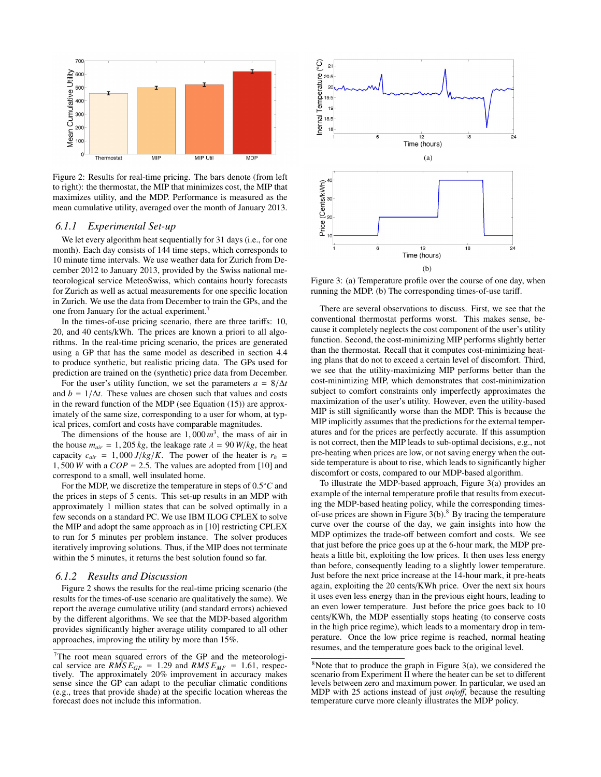

Figure 2: Results for real-time pricing. The bars denote (from left to right): the thermostat, the MIP that minimizes cost, the MIP that maximizes utility, and the MDP. Performance is measured as the mean cumulative utility, averaged over the month of January 2013.

#### *6.1.1 Experimental Set-up*

We let every algorithm heat sequentially for 31 days (i.e., for one month). Each day consists of 144 time steps, which corresponds to 10 minute time intervals. We use weather data for Zurich from December 2012 to January 2013, provided by the Swiss national meteorological service MeteoSwiss, which contains hourly forecasts for Zurich as well as actual measurements for one specific location in Zurich. We use the data from December to train the GPs, and the one from January for the actual experiment.<sup>7</sup>

In the times-of-use pricing scenario, there are three tariffs: 10, 20, and 40 cents/kWh. The prices are known a priori to all algorithms. In the real-time pricing scenario, the prices are generated using a GP that has the same model as described in section 4.4 to produce synthetic, but realistic pricing data. The GPs used for prediction are trained on the (synthetic) price data from December.

For the user's utility function, we set the parameters  $a = 8/\Delta t$ and  $b = 1/\Delta t$ . These values are chosen such that values and costs in the reward function of the MDP (see Equation (15)) are approximately of the same size, corresponding to a user for whom, at typical prices, comfort and costs have comparable magnitudes.

The dimensions of the house are  $1,000 \, m^3$ , the mass of air in<br>the house  $m_{\text{S}} = 1,205 \, k\sigma$ , the leakage rate  $\lambda = 90 \, W/k\sigma$ , the heat the house  $m_{air} = 1,205 \text{ kg}$ , the leakage rate  $\lambda = 90 \text{ W/kg}$ , the heat capacity  $c_{air} = 1,000 \, J/kg/K$ . The power of the heater is  $r_h$ 1, 500 *W* with a  $COP = 2.5$ . The values are adopted from [10] and correspond to a small, well insulated home.

For the MDP, we discretize the temperature in steps of 0.5<sup>°</sup>C and<br>↑ prices in steps of 5 cents. This set-up results in an MDP with the prices in steps of 5 cents. This set-up results in an MDP with approximately 1 million states that can be solved optimally in a few seconds on a standard PC. We use IBM ILOG CPLEX to solve the MIP and adopt the same approach as in [10] restricting CPLEX to run for 5 minutes per problem instance. The solver produces iteratively improving solutions. Thus, if the MIP does not terminate within the 5 minutes, it returns the best solution found so far.

#### *6.1.2 Results and Discussion*

Figure 2 shows the results for the real-time pricing scenario (the results for the times-of-use scenario are qualitatively the same). We report the average cumulative utility (and standard errors) achieved by the different algorithms. We see that the MDP-based algorithm provides significantly higher average utility compared to all other approaches, improving the utility by more than 15%.



Figure 3: (a) Temperature profile over the course of one day, when running the MDP. (b) The corresponding times-of-use tariff.

There are several observations to discuss. First, we see that the conventional thermostat performs worst. This makes sense, because it completely neglects the cost component of the user's utility function. Second, the cost-minimizing MIP performs slightly better than the thermostat. Recall that it computes cost-minimizing heating plans that do not to exceed a certain level of discomfort. Third, we see that the utility-maximizing MIP performs better than the cost-minimizing MIP, which demonstrates that cost-minimization subject to comfort constraints only imperfectly approximates the maximization of the user's utility. However, even the utility-based MIP is still significantly worse than the MDP. This is because the MIP implicitly assumes that the predictions for the external temperatures and for the prices are perfectly accurate. If this assumption is not correct, then the MIP leads to sub-optimal decisions, e.g., not pre-heating when prices are low, or not saving energy when the outside temperature is about to rise, which leads to significantly higher discomfort or costs, compared to our MDP-based algorithm.

To illustrate the MDP-based approach, Figure 3(a) provides an example of the internal temperature profile that results from executing the MDP-based heating policy, while the corresponding timesof-use prices are shown in Figure  $3(b)$ .<sup>8</sup> By tracing the temperature curve over the course of the day, we gain insights into how the MDP optimizes the trade-off between comfort and costs. We see that just before the price goes up at the 6-hour mark, the MDP preheats a little bit, exploiting the low prices. It then uses less energy than before, consequently leading to a slightly lower temperature. Just before the next price increase at the 14-hour mark, it pre-heats again, exploiting the 20 cents/KWh price. Over the next six hours it uses even less energy than in the previous eight hours, leading to an even lower temperature. Just before the price goes back to 10 cents/KWh, the MDP essentially stops heating (to conserve costs in the high price regime), which leads to a momentary drop in temperature. Once the low price regime is reached, normal heating resumes, and the temperature goes back to the original level.

<sup>7</sup>The root mean squared errors of the GP and the meteorological service are  $RMSE_{GP} = 1.29$  and  $RMSE_{MF} = 1.61$ , respectively. The approximately 20% improvement in accuracy makes sense since the GP can adapt to the peculiar climatic conditions (e.g., trees that provide shade) at the specific location whereas the forecast does not include this information.

 $8$ Note that to produce the graph in Figure 3(a), we considered the scenario from Experiment II where the heater can be set to different levels between zero and maximum power. In particular, we used an MDP with 25 actions instead of just *on*/*o*ff, because the resulting temperature curve more cleanly illustrates the MDP policy.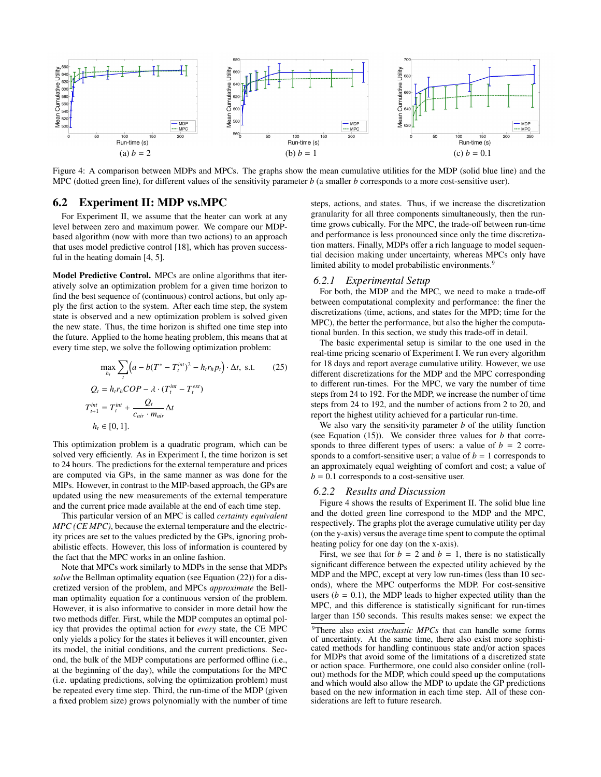

Figure 4: A comparison between MDPs and MPCs. The graphs show the mean cumulative utilities for the MDP (solid blue line) and the MPC (dotted green line), for different values of the sensitivity parameter *b* (a smaller *b* corresponds to a more cost-sensitive user).

## 6.2 Experiment II: MDP vs.MPC

For Experiment II, we assume that the heater can work at any level between zero and maximum power. We compare our MDPbased algorithm (now with more than two actions) to an approach that uses model predictive control [18], which has proven successful in the heating domain [4, 5].

Model Predictive Control. MPCs are online algorithms that iteratively solve an optimization problem for a given time horizon to find the best sequence of (continuous) control actions, but only apply the first action to the system. After each time step, the system state is observed and a new optimization problem is solved given the new state. Thus, the time horizon is shifted one time step into the future. Applied to the home heating problem, this means that at every time step, we solve the following optimization problem:

$$
\max_{h_t} \sum_{t} \left( a - b(T^* - T_t^{int})^2 - h_t r_h p_t \right) \cdot \Delta t, \text{ s.t.} \qquad (25)
$$
  
\n
$$
Q_t = h_t r_h COP - \lambda \cdot (T_t^{int} - T_t^{ext})
$$
  
\n
$$
T_{t+1}^{int} = T_t^{int} + \frac{Q_t}{c_{air} \cdot m_{air}} \Delta t
$$
  
\n
$$
h_t \in [0, 1].
$$

This optimization problem is a quadratic program, which can be solved very efficiently. As in Experiment I, the time horizon is set to 24 hours. The predictions for the external temperature and prices are computed via GPs, in the same manner as was done for the MIPs. However, in contrast to the MIP-based approach, the GPs are updated using the new measurements of the external temperature and the current price made available at the end of each time step.

This particular version of an MPC is called *certainty equivalent MPC (CE MPC)*, because the external temperature and the electricity prices are set to the values predicted by the GPs, ignoring probabilistic effects. However, this loss of information is countered by the fact that the MPC works in an online fashion.

Note that MPCs work similarly to MDPs in the sense that MDPs *solve* the Bellman optimality equation (see Equation (22)) for a discretized version of the problem, and MPCs *approximate* the Bellman optimality equation for a continuous version of the problem. However, it is also informative to consider in more detail how the two methods differ. First, while the MDP computes an optimal policy that provides the optimal action for *every* state, the CE MPC only yields a policy for the states it believes it will encounter, given its model, the initial conditions, and the current predictions. Second, the bulk of the MDP computations are performed offline (i.e., at the beginning of the day), while the computations for the MPC (i.e. updating predictions, solving the optimization problem) must be repeated every time step. Third, the run-time of the MDP (given a fixed problem size) grows polynomially with the number of time

steps, actions, and states. Thus, if we increase the discretization granularity for all three components simultaneously, then the runtime grows cubically. For the MPC, the trade-off between run-time and performance is less pronounced since only the time discretization matters. Finally, MDPs offer a rich language to model sequential decision making under uncertainty, whereas MPCs only have limited ability to model probabilistic environments.<sup>9</sup>

#### *6.2.1 Experimental Setup*

For both, the MDP and the MPC, we need to make a trade-off between computational complexity and performance: the finer the discretizations (time, actions, and states for the MPD; time for the MPC), the better the performance, but also the higher the computational burden. In this section, we study this trade-off in detail.

The basic experimental setup is similar to the one used in the real-time pricing scenario of Experiment I. We run every algorithm for 18 days and report average cumulative utility. However, we use different discretizations for the MDP and the MPC corresponding to different run-times. For the MPC, we vary the number of time steps from 24 to 192. For the MDP, we increase the number of time steps from 24 to 192, and the number of actions from 2 to 20, and report the highest utility achieved for a particular run-time.

We also vary the sensitivity parameter *b* of the utility function (see Equation  $(15)$ ). We consider three values for *b* that corresponds to three different types of users: a value of  $b = 2$  corresponds to a comfort-sensitive user; a value of  $b = 1$  corresponds to an approximately equal weighting of comfort and cost; a value of  $b = 0.1$  corresponds to a cost-sensitive user.

#### *6.2.2 Results and Discussion*

Figure 4 shows the results of Experiment II. The solid blue line and the dotted green line correspond to the MDP and the MPC, respectively. The graphs plot the average cumulative utility per day (on the y-axis) versus the average time spent to compute the optimal heating policy for one day (on the x-axis).

First, we see that for  $b = 2$  and  $b = 1$ , there is no statistically significant difference between the expected utility achieved by the MDP and the MPC, except at very low run-times (less than 10 seconds), where the MPC outperforms the MDP. For cost-sensitive users ( $b = 0.1$ ), the MDP leads to higher expected utility than the MPC, and this difference is statistically significant for run-times larger than 150 seconds. This results makes sense: we expect the

<sup>9</sup>There also exist *stochastic MPCs* that can handle some forms of uncertainty. At the same time, there also exist more sophisticated methods for handling continuous state and/or action spaces for MDPs that avoid some of the limitations of a discretized state or action space. Furthermore, one could also consider online (rollout) methods for the MDP, which could speed up the computations and which would also allow the MDP to update the GP predictions based on the new information in each time step. All of these considerations are left to future research.